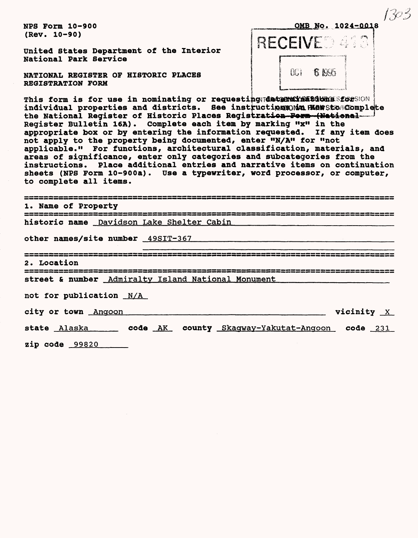United States Department of the Interior National Park Service

NATIONAL REGISTER OF HISTORIC PLACES REGISTRATION FORM



1303

This form is for use in nominating or requestinguident frames for some individual properties and districts. See instructipns man manst Complete the National Register of Historic Places Registration Porm (National-Register Bulletin 16A). Complete each item by marking "x" in the appropriate box or by entering the information requested. If any item does not apply to the property being documented, enter "N/A" for "not applicable." For functions, architectural classification, materials, and areas of significance, enter only categories and subcategories from the instructions. Place additional entries and narrative items on continuation sheets (NPS Form 10-900a). Use a typewriter, word processor, or computer, to complete all items.

| 1. Name of Property                       |                                                    |            |
|-------------------------------------------|----------------------------------------------------|------------|
| historic name Davidson Lake Shelter Cabin |                                                    |            |
| other names/site number 49SIT-367         |                                                    |            |
| 2. Location                               |                                                    |            |
|                                           | street & number Admiralty Island National Monument |            |
| not for publication N/A                   |                                                    |            |
| city or town Angoon                       |                                                    | vicinity X |
|                                           |                                                    |            |

zip code 99820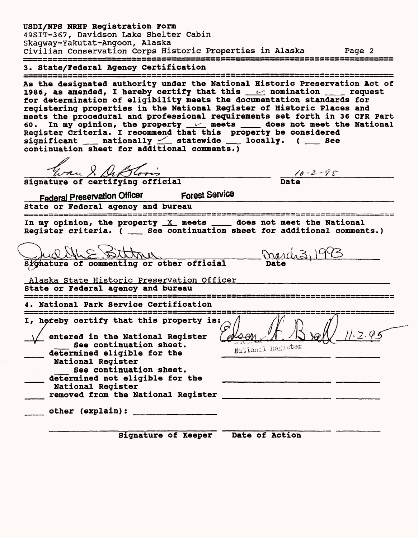| USDI/NPS NRHP Registration Form<br>49SIT-367, Davidson Lake Shelter Cabin<br>Skaqway-Yakutat-Angoon, Alaska<br>Civilian Conservation Corps Historic Properties in Alaska Page 2                                                                                                                                                                                                                                                                                                                                                                                                                                                                                 |                                          |
|-----------------------------------------------------------------------------------------------------------------------------------------------------------------------------------------------------------------------------------------------------------------------------------------------------------------------------------------------------------------------------------------------------------------------------------------------------------------------------------------------------------------------------------------------------------------------------------------------------------------------------------------------------------------|------------------------------------------|
| 3. State/Federal Agency Certification                                                                                                                                                                                                                                                                                                                                                                                                                                                                                                                                                                                                                           |                                          |
| As the designated authority under the National Historic Preservation Act of<br>1986, as amended, I hereby certify that this $\_\_$ nomination $\_\_$ request<br>for determination of eligibility meets the documentation standards for<br>registering properties in the National Register of Historic Places and<br>meets the procedural and professional requirements set forth in 36 CFR Part<br>60. In my opinion, the property __ meets __ does not meet the National<br>Register Criteria. I recommend that this property be considered<br>significant __ nationally $\leq$ statewide __ locally. ( __ See<br>continuation sheet for additional comments.) |                                          |
| Evan & DeBlois                                                                                                                                                                                                                                                                                                                                                                                                                                                                                                                                                                                                                                                  | $\frac{10 - 2 - 95}{\text{Data}}$        |
| Signature of certifying official<br><b>Federal Preservation Officer Forest Service</b><br>State or Federal agency and bureau                                                                                                                                                                                                                                                                                                                                                                                                                                                                                                                                    |                                          |
| Signature of commenting or other official<br>Alaska State Historic Preservation Officer<br>State or Federal agency and bureau                                                                                                                                                                                                                                                                                                                                                                                                                                                                                                                                   | $-mncl_1$ 3, 19                          |
| 4. National Park Service Certification                                                                                                                                                                                                                                                                                                                                                                                                                                                                                                                                                                                                                          |                                          |
| I, hereby certify that this property is: $\wedge$ /<br>entered in the National Register<br>See continuation sheet.<br>determined eligible for the<br>National Register<br>See continuation sheet.<br>determined not eligible for the<br>National Register<br>removed from the National Register<br>other (explain):                                                                                                                                                                                                                                                                                                                                             | $\mathcal{N}$<br>(p<br>National Register |
| <b>Signature of Keeper</b>                                                                                                                                                                                                                                                                                                                                                                                                                                                                                                                                                                                                                                      | Date of Action                           |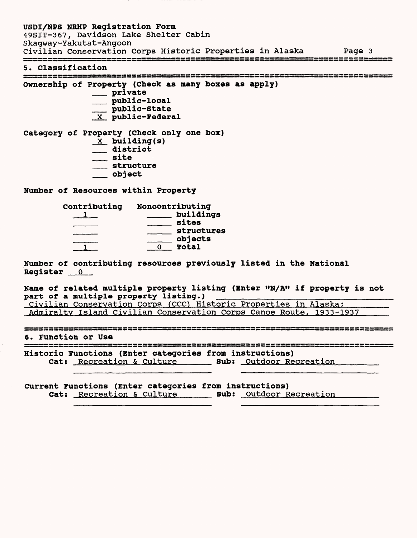**USDI/NPS NRHP Registration Form** 49SIT-367, Davidson Lake Shelter Cabin Skagway-Yakutat-Angoon Civilian Conservation Corps Historic Properties in Alaska Page 3 •MB l^» ••• ^W MWMM •!•\*•• ^W«M \*IMM\*Zl»^M •••••••••I \*S«M •«•>«• MM ^••M^M^«^MH|»M|M!|MIMIVIM MB flMMIIM **5. Classification Ownership of Property (Check as many boxes as apply) \_\_ private \_\_ public-local \_\_ public-State X public-Federal**

**Category of Property (Check only one box)**

- **X building(s)**
- **\_\_ district**
- **\_\_ site**
- **\_\_ structure**

<u> 1980 - John Stein, Amerikaansk politiker († 1901)</u>

**\_\_ object**

**Number of Resources within Property**

| Contributing | Noncontributing |  |  |
|--------------|-----------------|--|--|
|              | buildings       |  |  |
|              | sites           |  |  |
|              | structures      |  |  |
|              | objects         |  |  |
|              | Total           |  |  |

**Number of contributing resources previously listed in the National Register** 0

**Name of related multiple property listing (Enter "N/A" if property is not part of a multiple property listing.)**

| Civilian Conservation Corps (CCC) Historic Properties in Alaska;    |  |  |
|---------------------------------------------------------------------|--|--|
| Admiralty Island Civilian Conservation Corps Canoe Route, 1933-1937 |  |  |

**6. Function or Use Historic Functions (Enter categories from instructions)** Cat: Recreation & Culture\_\_\_\_\_ Sub: Outdoor Recreation

**Current Functions (Enter categories from instructions)** Cat: Recreation & Culture\_\_\_\_\_ Sub: Outdoor Recreation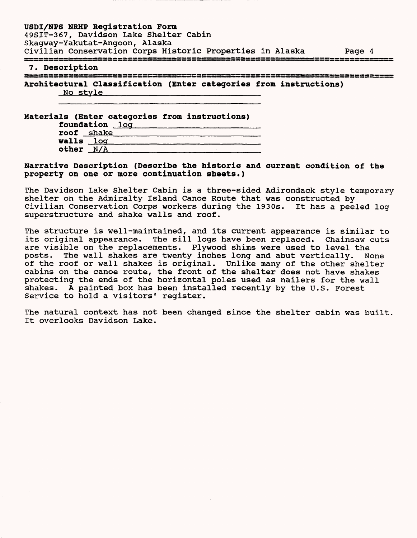| USDI/NPS NRHP Registration Form                           |        |  |
|-----------------------------------------------------------|--------|--|
| 49SIT-367, Davidson Lake Shelter Cabin                    |        |  |
| Skagway-Yakutat-Angoon, Alaska                            |        |  |
| Civilian Conservation Corps Historic Properties in Alaska | Page 4 |  |
|                                                           |        |  |

7. Description<br>===================== 

Architectural Classification (Enter categories from instructions) No style

Materials (Enter categories from instructions)

|                  | foundation log |  |  |  |
|------------------|----------------|--|--|--|
| roof shake       |                |  |  |  |
| <b>walls</b> log |                |  |  |  |
| other N/A        |                |  |  |  |

## Narrative Description (Describe the historic and current condition of the property on one or more continuation sheets.)

The Davidson Lake Shelter Cabin is a three-sided Adirondack style temporary shelter on the Admiralty Island Canoe Route that was constructed by Civilian Conservation Corps workers during the 1930s. It has a peeled log superstructure and shake walls and roof.

The structure is well-maintained, and its current appearance is similar to its original appearance. The sill logs have been replaced. Chainsaw cuts are visible on the replacements. Plywood shims were used to level the posts. The wall shakes are twenty inches long and abut vertically. None of the roof or wall shakes is original. Unlike many of the other shelter cabins on the canoe route, the front of the shelter does not have shakes protecting the ends of the horizontal poles used as nailers for the wall shakes. A painted box has been installed recently by the U.S. Forest Service to hold a visitors' register.

The natural context has not been changed since the shelter cabin was built. It overlooks Davidson Lake.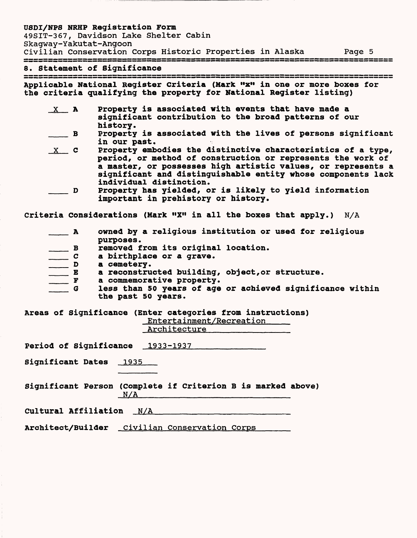| Skaqway-Yakutat-Angoon                                                                                                      | USDI/NPS NRHP Registration Form<br>49SIT-367, Davidson Lake Shelter Cabin<br>Civilian Conservation Corps Historic Properties in Alaska Page 5                                                                                                                                          |
|-----------------------------------------------------------------------------------------------------------------------------|----------------------------------------------------------------------------------------------------------------------------------------------------------------------------------------------------------------------------------------------------------------------------------------|
| 8. Statement of Significance                                                                                                |                                                                                                                                                                                                                                                                                        |
|                                                                                                                             | Applicable National Register Criteria (Mark "x" in one or more boxes for<br>the criteria qualifying the property for National Register listing)                                                                                                                                        |
| $X$ $A$                                                                                                                     | Property is associated with events that have made a<br>significant contribution to the broad patterns of our<br>history.                                                                                                                                                               |
| $\overline{\phantom{a}}$ B                                                                                                  | Property is associated with the lives of persons significant<br>in our past.                                                                                                                                                                                                           |
| $X$ $C$                                                                                                                     | Property embodies the distinctive characteristics of a type,<br>period, or method of construction or represents the work of<br>a master, or possesses high artistic values, or represents a<br>significant and distinguishable entity whose components lack<br>individual distinction. |
| D                                                                                                                           | Property has yielded, or is likely to yield information<br>important in prehistory or history.                                                                                                                                                                                         |
|                                                                                                                             | Criteria Considerations (Mark "X" in all the boxes that apply.) $N/A$                                                                                                                                                                                                                  |
| $\overline{\phantom{a}}$ $\overline{\phantom{a}}$                                                                           | owned by a religious institution or used for religious<br>purposes.                                                                                                                                                                                                                    |
|                                                                                                                             | removed from its original location.<br>a birthplace or a grave.                                                                                                                                                                                                                        |
| $\begin{array}{c}\n\begin{array}{c}\n\hline\n\end{array}\n\end{array}$<br>$\overline{\phantom{a}}$ $\overline{\phantom{a}}$ | a cemetery.<br>a reconstructed building, object, or structure.<br>a commemorative property.<br>less than 50 years of age or achieved significance within<br>the past 50 years.                                                                                                         |
|                                                                                                                             | Areas of Significance (Enter categories from instructions)<br>Entertainment/Recreation<br>Architecture expression and the set of the set of the set of the set of the set of the set of the set of the s                                                                               |
|                                                                                                                             | Period of Significance 1933-1937                                                                                                                                                                                                                                                       |
| Significant Dates 1935                                                                                                      |                                                                                                                                                                                                                                                                                        |
|                                                                                                                             | Significant Person (Complete if Criterion B is marked above)<br>N/A                                                                                                                                                                                                                    |
|                                                                                                                             | Cultural Affiliation N/A                                                                                                                                                                                                                                                               |
|                                                                                                                             | Architect/Builder civilian Conservation Corps                                                                                                                                                                                                                                          |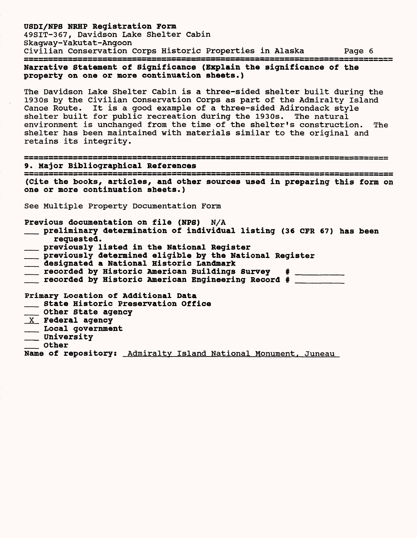USDI/NPS NRHP Registration Form 49SIT-367, Davidson Lake Shelter Cabin Skagway-Yakutat-Angoon Civilian Conservation Corps Historic Properties in Alaska Page 6

Narrative Statement of Significance (Explain the significance of the property on one or more continuation sheets.)

The Davidson Lake Shelter Cabin is a three-sided shelter built during the 1930s by the Civilian Conservation Corps as part of the Admiralty Island Canoe Route. It is a good example of a three-sided Adirondack style shelter built for public recreation during the 1930s. The natural environment is unchanged from the time of the shelter's construction. The shelter has been maintained with materials similar to the original and retains its integrity.

## 9. Major Bibliographical References (Cite the books, articles, and other sources used in preparing this form on

one or more continuation sheets.)

See Multiple Property Documentation Form

Previous documentation on file (NFS) N/A

- \_\_ preliminary determination of individual listing (36 CFR 67) has been requested.
- \_\_ previously listed in the National Register
- \_\_ previously determined eligible by the National Register
- \_\_ designated a National Historic Landmark
- \_\_ recorded by Historic American Buildings Survey # \_\_\_\_\_\_\_
- $\hskip1cm$  recorded by Historic American Engineering Record #  $\_$

Primary Location of Additional Data

- \_\_ State Historic Preservation Office
- \_\_ Other State agency
- X Federal agency
- \_\_ Local government
- \_\_ University
- \_\_ Other

Name of repository: Admiralty Island National Monument, Juneau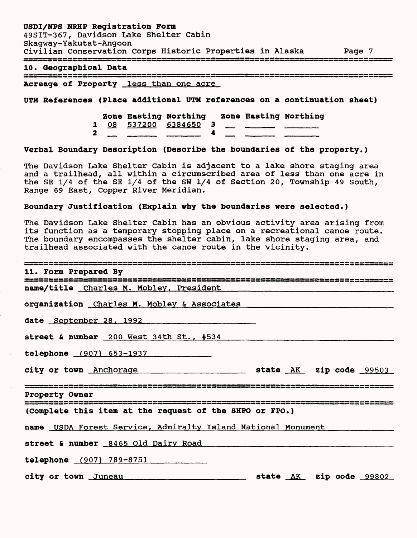| USDI/NPS NRHP Registration Form                           |        |
|-----------------------------------------------------------|--------|
| 49SIT-367, Davidson Lake Shelter Cabin                    |        |
| Skaqway-Yakutat-Angoon                                    |        |
| Civilian Conservation Corps Historic Properties in Alaska | Page 7 |
|                                                           |        |
| 10. Geographical Data                                     |        |
|                                                           |        |

Acreage of Property less than one acre

UTM References (Place additional UTM references on a continuation sheet)

Zone Easting Northing Zone Easting Northing 1 08 537200 6384650 3 \_ \_\_\_\_\_ \_\_\_\_\_\_  $2 \frac{1}{2} \frac{08}{100} \frac{537200}{1000} \frac{6384650}{1000} \frac{3}{4} \frac{2}{1000} \frac{3}{1000} \frac{2}{1000} \frac{3}{1000}$ 

Verbal Boundary Description (Describe the boundaries of the property.)

The Davidson Lake Shelter Cabin is adjacent to a lake shore staging area and a trailhead, all within a circumscribed area of less than one acre in the SE 1/4 of the SE 1/4 of the SW 1/4 of Section 20, Township 49 South, Range 69 East, Copper River Meridian.

### Boundary Justification (Explain why the boundaries were selected.)

The Davidson Lake Shelter Cabin has an obvious activity area arising from its function as a temporary stopping place on a recreational canoe route. The boundary encompasses the shelter cabin, lake shore staging area, and trailhead associated with the canoe route in the vicinity.

# 

**11. Form Prepared By name/title** Charles M. Mobley, President

**organization** Charles M. Mobley & Associates

**date** September 28, 1992

**street & number** 200 West 34th St., #534

**telephone** (907) 653-1937\_\_\_\_\_\_\_\_\_\_

**city or town** Anchorage\_\_\_\_\_\_\_\_\_\_\_\_\_\_\_\_\_ **state** AK **zip code** 99503

**Property Owner (Complete this item at the request of the SHPO or FPO.)**

name USDA Forest Service, Admiralty Island National Monument

street & number 8465 Old Dairy Road

**telephone** (907) 789-8751\_\_\_\_\_\_\_\_\_

**city or town** Juneau\_\_\_\_\_\_\_\_\_\_\_\_\_\_\_\_\_\_\_ **state** AK **zip code** 99802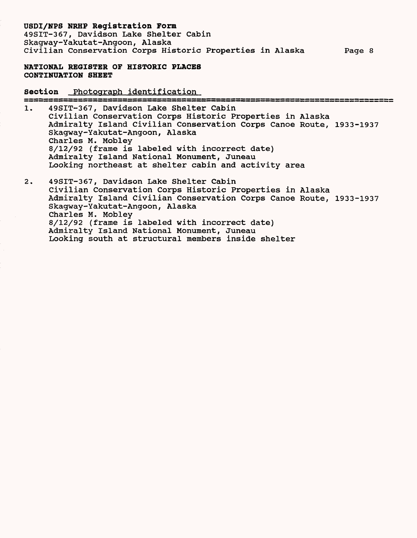**NATIONAL REGISTER OF HISTORIC PLACES CONTINUATION SHEET**

Section Photograph identification

- 49SIT-367, Davidson Lake Shelter Cabin  $1.$ Civilian Conservation Corps Historic Properties in Alaska Admiralty Island Civilian Conservation Corps Canoe Route, 1933-1937 Skagway-Yakutat-Angoon, Alaska Charles M. Mobley 8/12/92 (frame is labeled with incorrect date) Admiralty Island National Monument, Juneau Looking northeast at shelter cabin and activity area
- 49SIT-367, Davidson Lake Shelter Cabin  $2.$ Civilian Conservation Corps Historic Properties in Alaska Admiralty Island Civilian Conservation Corps Canoe Route, 1933-1937 Skagway-Yakutat-Angoon, Alaska Charles M. Mobley 8/12/92 (frame is labeled with incorrect date) Admiralty Island National Monument, Juneau Looking south at structural members inside shelter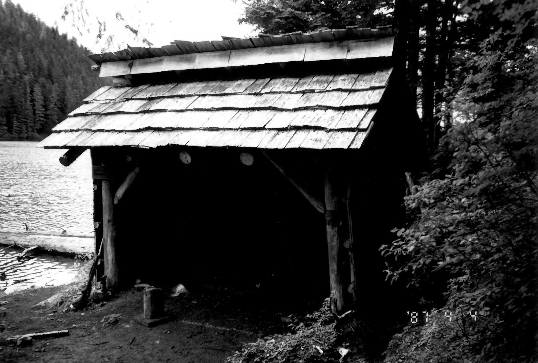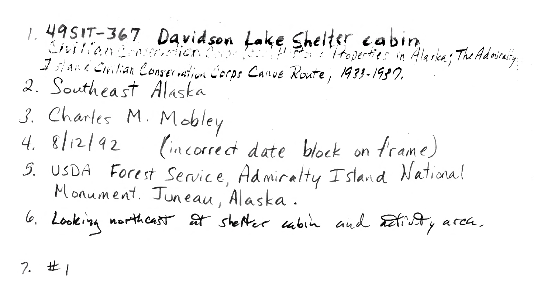- 1. 49517-367 Davidson Lake Shelter cabin<br>Critican Conservation Committee of Shelter in Alaska; The Admirality I stand Civilian Conservation Corps Cance Route, 1933-1937. 2. Southeast Alaska
- 3. Charles M. Mobley 4. 8/12/92 (incorrect date block on frame)<br>5. USDA Forest Service, Admiralty Island National Monument. Juneau, Alaska.
- 6. Looking northcast at shelter eabin and activity accu.
- $7. \#1$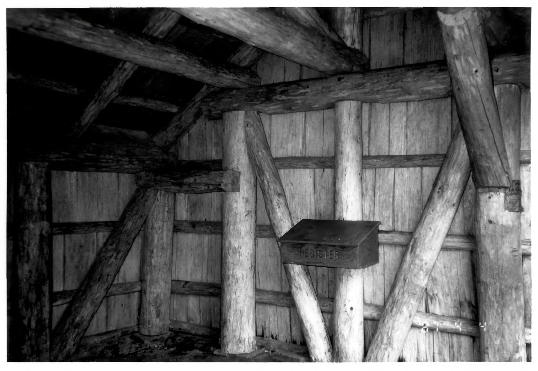